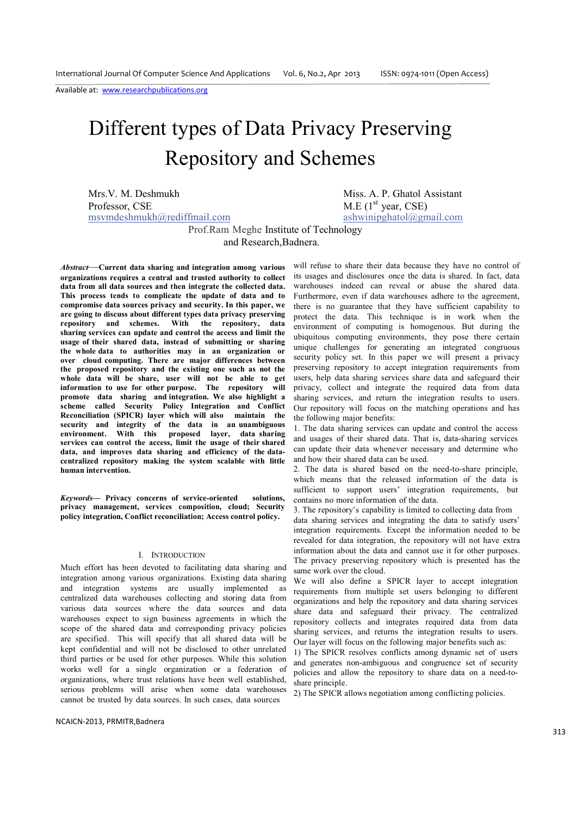# Repository and Schemes

Mrs.V. M. Deshmukh Miss. A. P. Ghatol Assistant Professor, CSE M.E (1<sup>st</sup> year, CSE) msvmdeshmukh@rediffmail.com ashwinipghatol@gmail.com

Prof.Ram Meghe Institute of Technology and Research,Badnera.

*Abstract*—**Current data sharing and integration among various organizations requires a central and trusted authority to collect data from all data sources and then integrate the collected data. This process tends to complicate the update of data and to compromise data sources privacy and security. In this paper, we are going to discuss about different types data privacy preserving repository and schemes. With the repository, data sharing services can update and control the access and limit the usage of their shared data, instead of submitting or sharing the whole data to authorities may in an organization or over cloud computing. There are major differences between the proposed repository and the existing one such as not the whole data will be share, user will not be able to get information to use for other purpose. The repository will promote data sharing and integration. We also highlight a scheme called Security Policy Integration and Conflict Reconciliation (SPICR) layer which will also maintain the security and integrity of the data in an unambiguous environment. With this proposed layer, data sharing services can control the access, limit the usage of their shared data, and improves data sharing and efficiency of the datacentralized repository making the system scalable with little human intervention.**

*Keywords***— Privacy concerns of service-oriented solutions, privacy management, services composition, cloud; Security policy integration, Conflict reconciliation; Access control policy.**

## I. INTRODUCTION

Much effort has been devoted to facilitating data sharing and integration among various organizations. Existing data sharing and integration systems are usually implemented as centralized data warehouses collecting and storing data from various data sources where the data sources and data warehouses expect to sign business agreements in which the scope of the shared data and corresponding privacy policies are specified. This will specify that all shared data will be kept confidential and will not be disclosed to other unrelated third parties or be used for other purposes. While this solution works well for a single organization or a federation of organizations, where trust relations have been well established, serious problems will arise when some data warehouses cannot be trusted by data sources. In such cases, data sources

NCAICN-2013, PRMITR,Badnera

will refuse to share their data because they have no control of its usages and disclosures once the data is shared. In fact, data warehouses indeed can reveal or abuse the shared data. Furthermore, even if data warehouses adhere to the agreement, there is no guarantee that they have sufficient capability to protect the data. This technique is in work when the environment of computing is homogenous. But during the ubiquitous computing environments, they pose there certain unique challenges for generating an integrated congruous security policy set. In this paper we will present a privacy preserving repository to accept integration requirements from users, help data sharing services share data and safeguard their privacy, collect and integrate the required data from data sharing services, and return the integration results to users. Our repository will focus on the matching operations and has the following major benefits:

1. The data sharing services can update and control the access and usages of their shared data. That is, data-sharing services can update their data whenever necessary and determine who and how their shared data can be used.

2. The data is shared based on the need-to-share principle, which means that the released information of the data is sufficient to support users' integration requirements, but contains no more information of the data.

3. The repository's capability is limited to collecting data from

data sharing services and integrating the data to satisfy users' integration requirements. Except the information needed to be revealed for data integration, the repository will not have extra information about the data and cannot use it for other purposes. The privacy preserving repository which is presented has the same work over the cloud.

We will also define a SPICR layer to accept integration requirements from multiple set users belonging to different organizations and help the repository and data sharing services share data and safeguard their privacy. The centralized repository collects and integrates required data from data sharing services, and returns the integration results to users. Our layer will focus on the following major benefits such as:

1) The SPICR resolves conflicts among dynamic set of users and generates non-ambiguous and congruence set of security policies and allow the repository to share data on a need-toshare principle.

2) The SPICR allows negotiation among conflicting policies.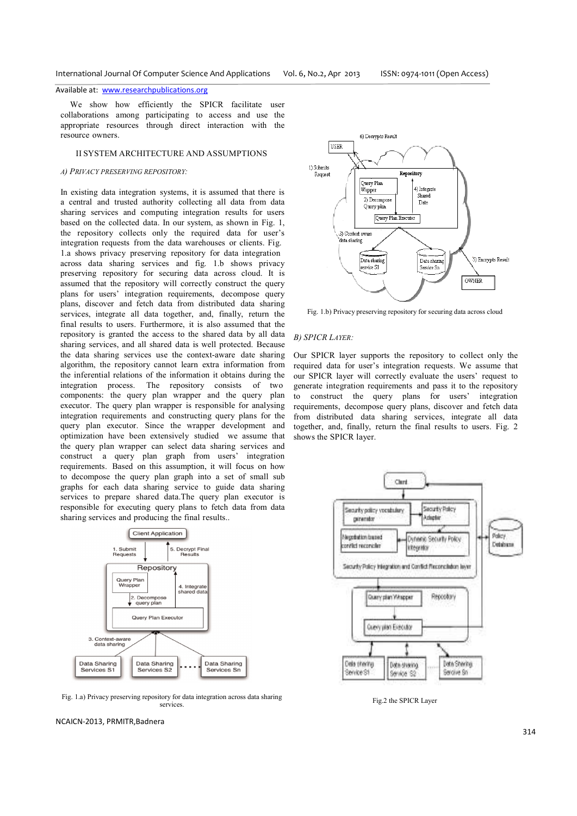We show how efficiently the SPICR facilitate user collaborations among participating to access and use the appropriate resources through direct interaction with the resource owners.

# II SYSTEM ARCHITECTURE AND ASSUMPTIONS

#### *A) PRIVACY PRESERVING REPOSITORY:*

In existing data integration systems, it is assumed that there is a central and trusted authority collecting all data from data sharing services and computing integration results for users based on the collected data. In our system, as shown in Fig. 1, the repository collects only the required data for user's integration requests from the data warehouses or clients. Fig. 1.a shows privacy preserving repository for data integration across data sharing services and fig. 1.b shows privacy preserving repository for securing data across cloud. It is assumed that the repository will correctly construct the query plans for users' integration requirements, decompose query plans, discover and fetch data from distributed data sharing services, integrate all data together, and, finally, return the final results to users. Furthermore, it is also assumed that the repository is granted the access to the shared data by all data sharing services, and all shared data is well protected. Because the data sharing services use the context-aware date sharing algorithm, the repository cannot learn extra information from the inferential relations of the information it obtains during the integration process. The repository consists of two components: the query plan wrapper and the query plan executor. The query plan wrapper is responsible for analysing integration requirements and constructing query plans for the query plan executor. Since the wrapper development and optimization have been extensively studied we assume that the query plan wrapper can select data sharing services and construct a query plan graph from users' integration requirements. Based on this assumption, it will focus on how to decompose the query plan graph into a set of small sub graphs for each data sharing service to guide data sharing services to prepare shared data.The query plan executor is responsible for executing query plans to fetch data from data sharing services and producing the final results..



Fig. 1.a) Privacy preserving repository for data integration across data sharing services.

## NCAICN-2013, PRMITR,Badnera



Fig. 1.b) Privacy preserving repository for securing data across cloud

#### *B) SPICR LAYER:*

Our SPICR layer supports the repository to collect only the required data for user's integration requests. We assume that our SPICR layer will correctly evaluate the users' request to generate integration requirements and pass it to the repository to construct the query plans for users' integration requirements, decompose query plans, discover and fetch data from distributed data sharing services, integrate all data together, and, finally, return the final results to users. Fig. 2 shows the SPICR layer.



Fig.2 the SPICR Layer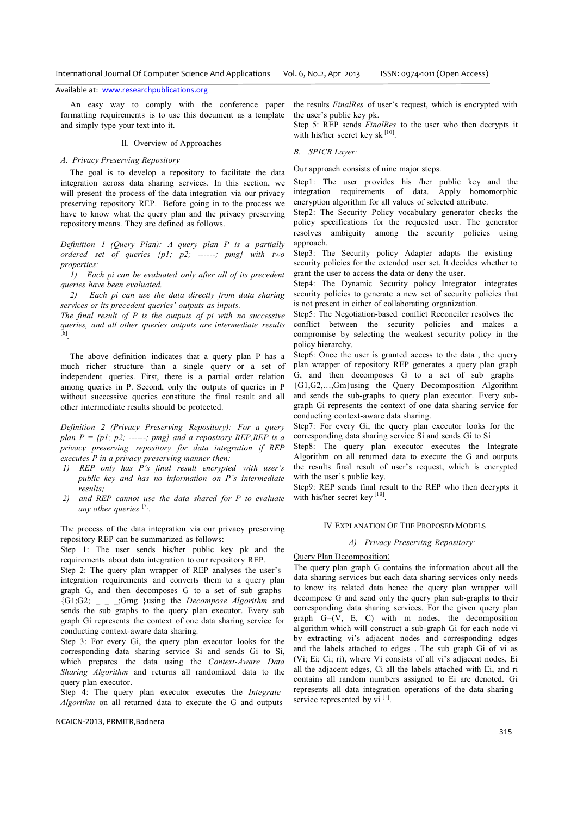An easy way to comply with the conference paper formatting requirements is to use this document as a template and simply type your text into it.

#### II. Overview of Approaches

## *A. Privacy Preserving Repository*

The goal is to develop a repository to facilitate the data integration across data sharing services. In this section, we will present the process of the data integration via our privacy preserving repository REP. Before going in to the process we have to know what the query plan and the privacy preserving repository means. They are defined as follows.

*Definition 1 (Query Plan): A query plan P is a partially ordered set of queries {p1; p2; ------; pmg} with two properties:*

*1) Each pi can be evaluated only after all of its precedent queries have been evaluated.*

*2) Each pi can use the data directly from data sharing services or its precedent queries' outputs as inputs.*

*The final result of P is the outputs of pi with no successive queries, and all other queries outputs are intermediate results*  [6] *.*

The above definition indicates that a query plan P has a much richer structure than a single query or a set of independent queries. First, there is a partial order relation among queries in P. Second, only the outputs of queries in P without successive queries constitute the final result and all other intermediate results should be protected.

*Definition 2 (Privacy Preserving Repository): For a query plan P = {p1; p2; ------; pmg} and a repository REP,REP is a privacy preserving repository for data integration if REP executes P in a privacy preserving manner then:*

- *1) REP only has P's final result encrypted with user's public key and has no information on P's intermediate results;*
- *2) and REP cannot use the data shared for P to evaluate any other queries* [7] *.*

The process of the data integration via our privacy preserving repository REP can be summarized as follows:

Step 1: The user sends his/her public key pk and the requirements about data integration to our repository REP.

Step 2: The query plan wrapper of REP analyses the user's integration requirements and converts them to a query plan graph G, and then decomposes G to a set of sub graphs {G1;G2; \_ \_ \_;Gmg }using the *Decompose Algorithm* and sends the sub graphs to the query plan executor. Every sub graph Gi represents the context of one data sharing service for conducting context-aware data sharing.

Step 3: For every Gi, the query plan executor looks for the corresponding data sharing service Si and sends Gi to Si, which prepares the data using the *Context-Aware Data Sharing Algorithm* and returns all randomized data to the query plan executor.

Step 4: The query plan executor executes the *Integrate Algorithm* on all returned data to execute the G and outputs

NCAICN-2013, PRMITR,Badnera

the results *FinalRes* of user's request, which is encrypted with the user's public key pk.

Step 5: REP sends *FinalRes* to the user who then decrypts it with his/her secret key sk $^{[10]}$ .

#### *B. SPICR Layer:*

Our approach consists of nine major steps.

Step1: The user provides his /her public key and the integration requirements of data. Apply homomorphic encryption algorithm for all values of selected attribute.

Step2: The Security Policy vocabulary generator checks the policy specifications for the requested user. The generator resolves ambiguity among the security policies using approach.

Step3: The Security policy Adapter adapts the existing security policies for the extended user set. It decides whether to grant the user to access the data or deny the user.

Step4: The Dynamic Security policy Integrator integrates security policies to generate a new set of security policies that is not present in either of collaborating organization.

Step5: The Negotiation-based conflict Reconciler resolves the conflict between the security policies and makes a

compromise by selecting the weakest security policy in the policy hierarchy.

Step6: Once the user is granted access to the data , the query plan wrapper of repository REP generates a query plan graph G, and then decomposes G to a set of sub graphs {G1,G2,…,Gm}using the Query Decomposition Algorithm and sends the sub-graphs to query plan executor. Every subgraph Gi represents the context of one data sharing service for conducting context-aware data sharing.

Step7: For every Gi, the query plan executor looks for the corresponding data sharing service Si and sends Gi to Si

Step8: The query plan executor executes the Integrate Algorithm on all returned data to execute the G and outputs the results final result of user's request, which is encrypted with the user's public key.

Step9: REP sends final result to the REP who then decrypts it with his/her secret key<sup>[10]</sup>.

## IV EXPLANATION OF THE PROPOSED MODELS

#### *A) Privacy Preserving Repository:*

#### Query Plan Decomposition:

The query plan graph G contains the information about all the data sharing services but each data sharing services only needs to know its related data hence the query plan wrapper will decompose G and send only the query plan sub-graphs to their corresponding data sharing services. For the given query plan graph  $G=(V, E, C)$  with m nodes, the decomposition algorithm which will construct a sub-graph Gi for each node vi by extracting vi's adjacent nodes and corresponding edges and the labels attached to edges . The sub graph Gi of vi as (Vi; Ei; Ci; ri), where Vi consists of all vi's adjacent nodes, Ei all the adjacent edges, Ci all the labels attached with Ei, and ri contains all random numbers assigned to Ei are denoted. Gi represents all data integration operations of the data sharing service represented by  $vi$ <sup>[1]</sup>.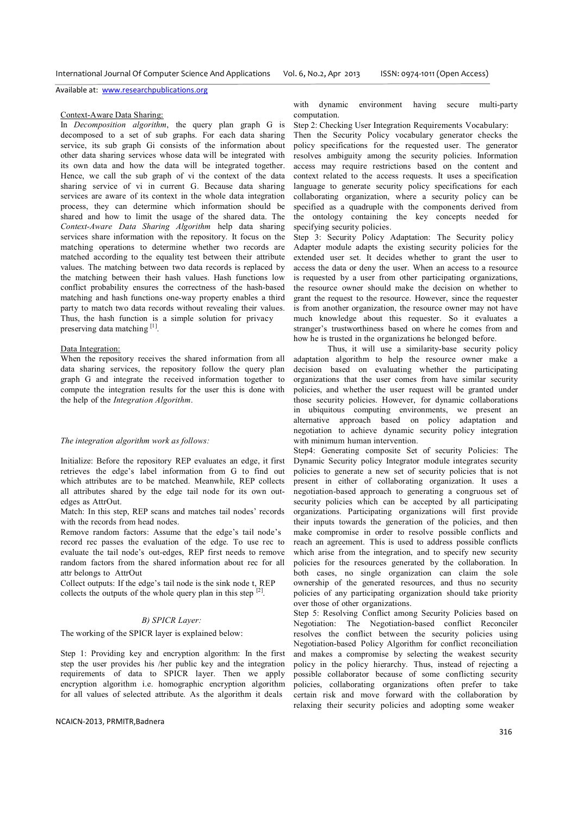#### Context-Aware Data Sharing:

In *Decomposition algorithm*, the query plan graph G is decomposed to a set of sub graphs. For each data sharing service, its sub graph Gi consists of the information about other data sharing services whose data will be integrated with its own data and how the data will be integrated together. Hence, we call the sub graph of vi the context of the data sharing service of vi in current G. Because data sharing services are aware of its context in the whole data integration process, they can determine which information should be shared and how to limit the usage of the shared data. The *Context-Aware Data Sharing Algorithm* help data sharing services share information with the repository. It focus on the matching operations to determine whether two records are matched according to the equality test between their attribute values. The matching between two data records is replaced by the matching between their hash values. Hash functions low conflict probability ensures the correctness of the hash-based matching and hash functions one-way property enables a third party to match two data records without revealing their values. Thus, the hash function is a simple solution for privacy preserving data matching [1].

### Data Integration:

When the repository receives the shared information from all data sharing services, the repository follow the query plan graph G and integrate the received information together to compute the integration results for the user this is done with the help of the *Integration Algorithm*.

## *The integration algorithm work as follows:*

Initialize: Before the repository REP evaluates an edge, it first retrieves the edge's label information from G to find out which attributes are to be matched. Meanwhile, REP collects all attributes shared by the edge tail node for its own outedges as AttrOut.

Match: In this step, REP scans and matches tail nodes' records with the records from head nodes.

Remove random factors: Assume that the edge's tail node's record rec passes the evaluation of the edge. To use rec to evaluate the tail node's out-edges, REP first needs to remove random factors from the shared information about rec for all attr belongs to AttrOut

Collect outputs: If the edge's tail node is the sink node t, REP collects the outputs of the whole query plan in this step  $[2]$ .

## *B) SPICR Layer:*

The working of the SPICR layer is explained below:

Step 1: Providing key and encryption algorithm: In the first step the user provides his /her public key and the integration requirements of data to SPICR layer. Then we apply encryption algorithm i.e. homographic encryption algorithm for all values of selected attribute. As the algorithm it deals

#### NCAICN-2013, PRMITR,Badnera

with dynamic environment having secure multi-party computation.

Step 2: Checking User Integration Requirements Vocabulary: Then the Security Policy vocabulary generator checks the policy specifications for the requested user. The generator resolves ambiguity among the security policies. Information access may require restrictions based on the content and context related to the access requests. It uses a specification language to generate security policy specifications for each collaborating organization, where a security policy can be specified as a quadruple with the components derived from the ontology containing the key concepts needed for specifying security policies.

Step 3: Security Policy Adaptation: The Security policy Adapter module adapts the existing security policies for the extended user set. It decides whether to grant the user to access the data or deny the user. When an access to a resource is requested by a user from other participating organizations, the resource owner should make the decision on whether to grant the request to the resource. However, since the requester is from another organization, the resource owner may not have much knowledge about this requester. So it evaluates a stranger's trustworthiness based on where he comes from and how he is trusted in the organizations he belonged before.

Thus, it will use a similarity-base security policy adaptation algorithm to help the resource owner make a decision based on evaluating whether the participating organizations that the user comes from have similar security policies, and whether the user request will be granted under those security policies. However, for dynamic collaborations in ubiquitous computing environments, we present an alternative approach based on policy adaptation and negotiation to achieve dynamic security policy integration with minimum human intervention.

Step4: Generating composite Set of security Policies: The Dynamic Security policy Integrator module integrates security policies to generate a new set of security policies that is not present in either of collaborating organization. It uses a negotiation-based approach to generating a congruous set of security policies which can be accepted by all participating organizations. Participating organizations will first provide their inputs towards the generation of the policies, and then make compromise in order to resolve possible conflicts and reach an agreement. This is used to address possible conflicts which arise from the integration, and to specify new security policies for the resources generated by the collaboration. In both cases, no single organization can claim the sole ownership of the generated resources, and thus no security policies of any participating organization should take priority over those of other organizations.

Step 5: Resolving Conflict among Security Policies based on Negotiation: The Negotiation-based conflict Reconciler resolves the conflict between the security policies using Negotiation-based Policy Algorithm for conflict reconciliation and makes a compromise by selecting the weakest security policy in the policy hierarchy. Thus, instead of rejecting a possible collaborator because of some conflicting security policies, collaborating organizations often prefer to take certain risk and move forward with the collaboration by relaxing their security policies and adopting some weaker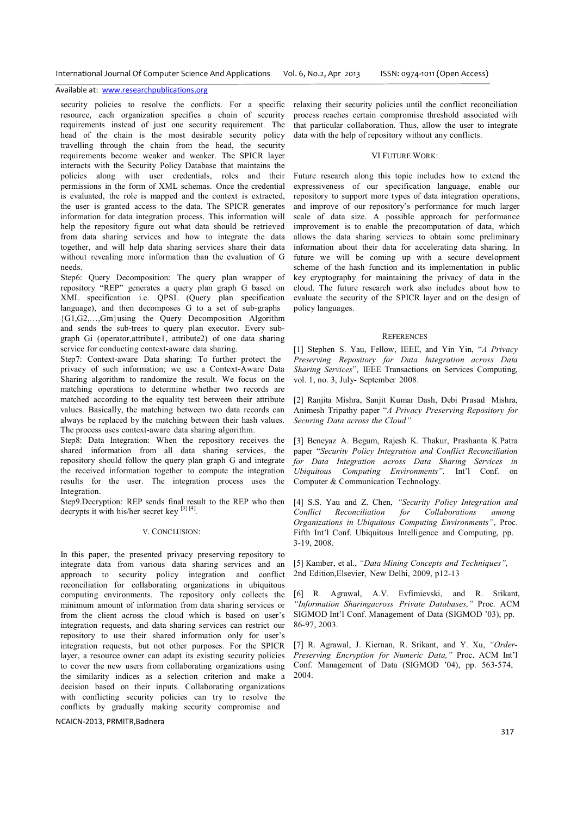security policies to resolve the conflicts. For a specific resource, each organization specifies a chain of security requirements instead of just one security requirement. The head of the chain is the most desirable security policy travelling through the chain from the head, the security requirements become weaker and weaker. The SPICR layer interacts with the Security Policy Database that maintains the policies along with user credentials, roles and their permissions in the form of XML schemas. Once the credential is evaluated, the role is mapped and the context is extracted, the user is granted access to the data. The SPICR generates information for data integration process. This information will help the repository figure out what data should be retrieved from data sharing services and how to integrate the data together, and will help data sharing services share their data without revealing more information than the evaluation of G needs.

Step6: Query Decomposition: The query plan wrapper of repository "REP" generates a query plan graph G based on XML specification i.e. QPSL (Query plan specification language), and then decomposes G to a set of sub-graphs {G1,G2,…,Gm}using the Query Decomposition Algorithm and sends the sub-trees to query plan executor. Every subgraph Gi (operator,attribute1, attribute2) of one data sharing service for conducting context-aware data sharing.

Step7: Context-aware Data sharing: To further protect the privacy of such information; we use a Context-Aware Data Sharing algorithm to randomize the result. We focus on the matching operations to determine whether two records are matched according to the equality test between their attribute values. Basically, the matching between two data records can always be replaced by the matching between their hash values. The process uses context-aware data sharing algorithm.

Step8: Data Integration: When the repository receives the shared information from all data sharing services, the repository should follow the query plan graph G and integrate the received information together to compute the integration results for the user. The integration process uses the Integration.

Step9.Decryption: REP sends final result to the REP who then decrypts it with his/her secret key  $[3]$   $[4]$ .

#### V. CONCLUSION:

In this paper, the presented privacy preserving repository to integrate data from various data sharing services and an approach to security policy integration and conflict reconciliation for collaborating organizations in ubiquitous computing environments. The repository only collects the minimum amount of information from data sharing services or from the client across the cloud which is based on user's integration requests, and data sharing services can restrict our repository to use their shared information only for user's integration requests, but not other purposes. For the SPICR layer, a resource owner can adapt its existing security policies to cover the new users from collaborating organizations using the similarity indices as a selection criterion and make a decision based on their inputs. Collaborating organizations with conflicting security policies can try to resolve the conflicts by gradually making security compromise and

# NCAICN-2013, PRMITR,Badnera

relaxing their security policies until the conflict reconciliation process reaches certain compromise threshold associated with that particular collaboration. Thus, allow the user to integrate data with the help of repository without any conflicts.

## VI FUTURE WORK:

Future research along this topic includes how to extend the expressiveness of our specification language, enable our repository to support more types of data integration operations, and improve of our repository's performance for much larger scale of data size. A possible approach for performance improvement is to enable the precomputation of data, which allows the data sharing services to obtain some preliminary information about their data for accelerating data sharing. In future we will be coming up with a secure development scheme of the hash function and its implementation in public key cryptography for maintaining the privacy of data in the cloud. The future research work also includes about how to evaluate the security of the SPICR layer and on the design of policy languages.

#### **REFERENCES**

[1] Stephen S. Yau, Fellow, IEEE, and Yin Yin, "*A Privacy Preserving Repository for Data Integration across Data Sharing Services*", IEEE Transactions on Services Computing, vol. 1, no. 3, July- September 2008.

[2] Ranjita Mishra, Sanjit Kumar Dash, Debi Prasad Mishra, Animesh Tripathy paper "*A Privacy Preserving Repository for Securing Data across the Cloud"*

[3] Beneyaz A. Begum, Rajesh K. Thakur, Prashanta K.Patra paper "*Security Policy Integration and Conflict Reconciliation for Data Integration across Data Sharing Services in Ubiquitous Computing Environments"*. Int'l Conf. on Computer & Communication Technology.

[4] S.S. Yau and Z. Chen, *"Security Policy Integration and Conflict Reconciliation for Collaborations among Organizations in Ubiquitous Computing Environments"*, Proc. Fifth Int'l Conf. Ubiquitous Intelligence and Computing, pp. 3-19, 2008.

[5] Kamber, et al., *"Data Mining Concepts and Techniques",* 2nd Edition,Elsevier, New Delhi, 2009, p12-13

[6] R. Agrawal, A.V. Evfimievski, and R. Srikant, *"Information Sharingacross Private Databases,"* Proc. ACM SIGMOD Int'l Conf. Management of Data (SIGMOD '03), pp. 86-97, 2003.

[7] R. Agrawal, J. Kiernan, R. Srikant, and Y. Xu, *"Order-Preserving Encryption for Numeric Data,"* Proc. ACM Int'l Conf. Management of Data (SIGMOD '04), pp. 563-574, 2004.